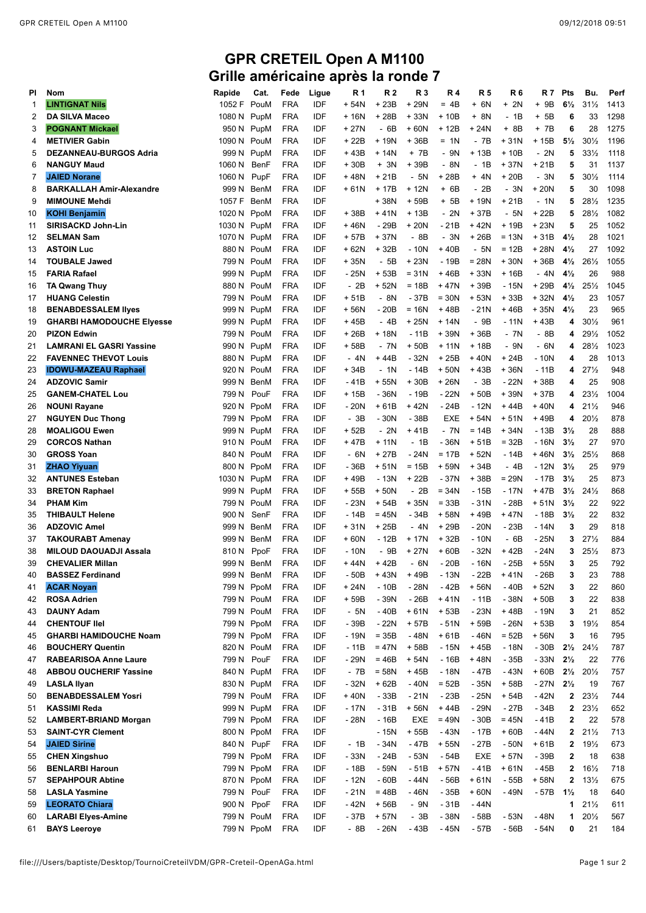## **GPR CRETEIL Open A M1100 Grille américaine après la ronde 7**

| PI | <b>Nom</b>                       | Rapide      | Cat.       | Fede       |            | R 1    | R <sub>2</sub> | R 3        | <b>R4</b>  | <b>R5</b> | <b>R6</b> | R 7    | Pts            | Bu.                 | Perf |
|----|----------------------------------|-------------|------------|------------|------------|--------|----------------|------------|------------|-----------|-----------|--------|----------------|---------------------|------|
|    |                                  |             |            |            | Ligue      |        |                |            |            |           |           |        |                |                     |      |
| -1 | <b>LINTIGNAT Nils</b>            | 1052 F      | PouM       | FRA        | IDF        | + 54N  | + 23B          | + 29N      | $= 4B$     | $+ 6N$    | $+ 2N$    | $+9B$  | $6\frac{1}{2}$ | $31\frac{1}{2}$     | 1413 |
| 2  | <b>DA SILVA Maceo</b>            | 1080 N      | PupM       | <b>FRA</b> | IDF        | + 16N  | + 28B          | $+33N$     | $+10B$     | + 8N      | $-1B$     | $+ 5B$ | 6              | 33                  | 1298 |
| 3  | <b>POGNANT Mickael</b>           | 950 N       | PupM       | FRA        | IDF        | + 27N  | - 6B           | +60N       | + 12B      | $+24N$    | + 8B      | + 7B   | 6              | 28                  | 1275 |
| 4  | <b>METIVIER Gabin</b>            | 1090 N      | PouM       | <b>FRA</b> | IDF        | + 22B  | + 19N          | +36B       | = 1N       | - 7B      | $+31N$    | + 15B  | $5\frac{1}{2}$ | $30\frac{1}{2}$     | 1196 |
| 5  | <b>DEZANNEAU-BURGOS Adria</b>    | 999 N       | PupM       | FRA        | IDF        | +43B   | + 14N          | + 7B       | - 9N       | $+13B$    | $+10B$    | - 2N   | 5              | $33\frac{1}{2}$     | 1118 |
| 6  | <b>NANGUY Maud</b>               | 1060 N      | BenF       | FRA        | IDF        | $+30B$ | + 3N           | +39B       | - 8N       | - 1B      | $+37N$    | $+21B$ | 5              | 31                  | 1137 |
| 7  | <b>JAIED Norane</b>              |             |            | <b>FRA</b> | IDF        | +48N   | + 21B          | - 5N       | + 28B      | $+ 4N$    | $+20B$    | - 3N   | 5              | $30\frac{1}{2}$     | 1114 |
|    |                                  | 1060 N      | PupF       |            |            |        |                |            |            |           |           |        |                |                     |      |
| 8  | <b>BARKALLAH Amir-Alexandre</b>  | 999 N       | BenM       | <b>FRA</b> | IDF        | + 61N  | + 17B          | + 12N      | $+ 6B$     | - 2B      | - 3N      | + 20N  | 5              | 30                  | 1098 |
| 9  | <b>MIMOUNE Mehdi</b>             | 1057 F      | BenM       | <b>FRA</b> | IDF        |        | +38N           | $+59B$     | + 5B       | $+19N$    | $+21B$    | - 1N   | 5              | 281/2               | 1235 |
| 10 | <b>KOHI Benjamin</b>             | 1020 N      | PpoM       | FRA        | IDF        | +38B   | + 41N          | $+13B$     | $-2N$      | $+37B$    | - 5N      | + 22B  | 5              | $28\frac{1}{2}$     | 1082 |
| 11 | SIRISACKD John-Lin               | 1030 N      | PupM       | <b>FRA</b> | IDF        | +46N   | - 29B          | + 20N      | - 21B      | $+42N$    | $+19B$    | $+23N$ | 5              | 25                  | 1052 |
| 12 | <b>SELMAN Sam</b>                | 1070 N PupM |            | FRA        | IDF        | + 57B  | +37N           | - 8B       | $-3N$      | $+26B$    | $= 13N$   | + 31B  | $4\frac{1}{2}$ | 28                  | 1021 |
| 13 | <b>ASTOIN Luc</b>                | 880 N       | PouM       | FRA        | IDF        | + 62N  | +32B           | $-10N$     | +40B       | $-5N$     | $= 12B$   | + 28N  | $4\frac{1}{2}$ | 27                  | 1092 |
| 14 | <b>TOUBALE Jawed</b>             | 799 N       | PouM       | <b>FRA</b> | IDF        | + 35N  | - 5B           | + 23N      | - 19B      | $= 28N$   | $+30N$    | $+36B$ | $4\frac{1}{2}$ | $26\frac{1}{2}$     | 1055 |
|    |                                  |             |            |            |            |        |                |            |            |           |           |        |                |                     |      |
| 15 | <b>FARIA Rafael</b>              | 999 N       | PupM       | FRA        | IDF        | - 25N  | + 53B          | $= 31N$    | +46B       | $+33N$    | + 16B     | - 4N   | $4\frac{1}{2}$ | 26                  | 988  |
| 16 | <b>TA Qwang Thuy</b>             | 880 N       | PouM       | <b>FRA</b> | IDF        | $-2B$  | + 52N          | $= 18B$    | $+47N$     | $+39B$    | - 15N     | + 29B  | $4\frac{1}{2}$ | $25\frac{1}{2}$     | 1045 |
| 17 | <b>HUANG Celestin</b>            | 799 N       | PouM       | <b>FRA</b> | IDF        | $+51B$ | - 8N           | - 37B      | $= 30N$    | + 53N     | + 33B     | + 32N  | $4\frac{1}{2}$ | 23                  | 1057 |
| 18 | <b>BENABDESSALEM liyes</b>       | 999 N       | PupM       | FRA        | IDF        | + 56N  | - 20B          | $= 16N$    | +48B       | $-21N$    | +46B      | $+35N$ | $4\frac{1}{2}$ | 23                  | 965  |
| 19 | <b>GHARBI HAMODOUCHE Elyesse</b> | 999 N       | PupM       | FRA        | IDF        | +45B   | - 4B           | + 25N      | + 14N      | - 9B      | - 11N     | $+43B$ | 4              | $30\frac{1}{2}$     | 961  |
| 20 | <b>PIZON Edwin</b>               | 799 N       | PouM       | <b>FRA</b> | IDF        | + 26B  | + 18N          | $-11B$     | +39N       | +36B      | - 7N      | - 8B   | 4              | 29½                 | 1052 |
| 21 | <b>LAMRANI EL GASRI Yassine</b>  | 990 N       | PupM       | <b>FRA</b> | IDF        | + 58B  | - 7N           | $+50B$     | $+11N$     | $+18B$    | - 9N      | - 6N   | 4              | $28\frac{1}{2}$     | 1023 |
|    | <b>FAVENNEC THEVOT Louis</b>     |             |            |            | IDF        | - 4N   |                | $-32N$     |            |           |           |        | 4              | 28                  | 1013 |
| 22 |                                  | 880 N       | PupM       | FRA        |            |        | + 44B          |            | + 25B      | $+40N$    | + 24B     | - 10N  |                |                     |      |
| 23 | <b>IDOWU-MAZEAU Raphael</b>      | 920 N       | PouM       | <b>FRA</b> | IDF        | $+34B$ | $-1N$          | $-14B$     | $+50N$     | $+43B$    | $+36N$    | $-11B$ | 4              | 27%                 | 948  |
| 24 | <b>ADZOVIC Samir</b>             | 999 N       | BenM       | FRA        | IDF        | - 41B  | + 55N          | +30B       | $+26N$     | - 3B      | - 22N     | +38B   | 4              | 25                  | 908  |
| 25 | <b>GANEM-CHATEL Lou</b>          | 799 N       | PouF       | <b>FRA</b> | IDF        | + 15B  | - 36N          | - 19B      | - 22N      | $+50B$    | +39N      | +37B   | 4              | $23\frac{1}{2}$     | 1004 |
| 26 | <b>NOUNI Rayane</b>              | 920 N       | PpoM       | FRA        | IDF        | - 20N  | $+61B$         | +42N       | - 24B      | $-12N$    | +44B      | +40N   | 4              | $21\frac{1}{2}$     | 946  |
| 27 | <b>NGUYEN Duc Thong</b>          | 799 N       | PpoM       | FRA        | IDF        | - 3B   | - 30N          | - 38B      | <b>EXE</b> | + 54N     | $+51N$    | + 49B  | 4              | $20\frac{1}{2}$     | 878  |
| 28 | <b>MOALIGOU Ewen</b>             | 999 N       | PupM       | <b>FRA</b> | IDF        | + 52B  | $-2N$          | +41B       | - 7N       | $= 14B$   | $+34N$    | - 13B  | $3\frac{1}{2}$ | 28                  | 888  |
| 29 | <b>CORCOS Nathan</b>             | 910 N       | PouM       | FRA        | IDF        | + 47B  | + 11N          | - 1B       | $-36N$     | $+51B$    | $= 32B$   | - 16N  | $3\frac{1}{2}$ | 27                  | 97C  |
|    |                                  |             |            |            |            |        |                |            |            |           |           |        |                |                     |      |
| 30 | <b>GROSS Yoan</b>                | 840 N       | PouM       | <b>FRA</b> | IDF        | - 6N   | + 27B          | $-24N$     | $= 17B$    | $+52N$    | $-14B$    | $+46N$ | $3\frac{1}{2}$ | $25\frac{1}{2}$     | 868  |
| 31 | <b>ZHAO Yiyuan</b>               | 800 N       | PpoM       | <b>FRA</b> | IDF        | - 36B  | $+51N$         | $= 15B$    | + 59N      | $+34B$    | $-4B$     | - 12N  | $3\frac{1}{2}$ | 25                  | 979  |
| 32 | <b>ANTUNES Esteban</b>           | 1030 N      | PupM       | FRA        | IDF        | +49B   | - 13N          | + 22B      | $-37N$     | + 38B     | $= 29N$   | - 17B  | $3\frac{1}{2}$ | 25                  | 873  |
| 33 | <b>BRETON Raphael</b>            | 999 N       | PupM       | <b>FRA</b> | IDF        | + 55B  | $+50N$         | $-2B$      | $= 34N$    | - 15B     | $-17N$    | +47B   | $3\frac{1}{2}$ | 24%                 | 868  |
| 34 | <b>PHAM Kim</b>                  | 799 N       | PouM       | FRA        | IDF        | - 23N  | + 54B          | + 35N      | $= 33B$    | $-31N$    | $-28B$    | $+51N$ | $3\frac{1}{2}$ | 22                  | 922  |
| 35 | <b>THIBAULT Helene</b>           | 900 N       | SenF       | <b>FRA</b> | IDF        | $-14B$ | $= 45N$        | $-34B$     | + 58N      | +49B      | $+47N$    | $-18B$ | $3\frac{1}{2}$ | 22                  | 832  |
| 36 | <b>ADZOVIC Amel</b>              | 999 N       | BenM       | FRA        | IDF        | + 31N  | + 25B          | - 4N       | + 29B      | $-20N$    | $-23B$    | - 14N  | 3              | 29                  | 818  |
| 37 | <b>TAKOURABT Amenay</b>          | 999 N       | BenM       | <b>FRA</b> | IDF        | + 60N  | - 12B          | + 17N      | + 32B      | - 10N     | - 6B      | - 25N  | 3              | 27%                 | 884  |
|    |                                  |             |            |            |            |        |                |            |            |           |           |        |                |                     |      |
| 38 | <b>MILOUD DAOUADJI Assala</b>    | 810 N       | PpoF       | <b>FRA</b> | IDF        | $-10N$ | - 9B           | + 27N      | $+60B$     | - 32N     | $+42B$    | - 24N  | 3              | 25%                 | 873  |
| 39 | <b>CHEVALIER Millan</b>          |             | 999 N BenM | FRA        | IDF        | +44N   | + 42B          | - 6N       | $-20B$     | $-16N$    | - 25B     | + 55N  | 3              | 25                  | 792  |
| 40 | <b>BASSEZ Ferdinand</b>          |             | 999 N BenM | <b>FRA</b> | IDF        | - 50B  | +43N           | +49B       | $-13N$     | - 22B     | $+41N$    | - 26B  | 3              | 23                  | 788  |
| 41 | <b>ACAR Noyan</b>                |             | 799 N PpoM | <b>FRA</b> | IDF        | + 24N  | $-10B$         | $-28N$     | - 42B      | $+56N$    | $-40B$    | + 52N  | 3              | 22                  | 86C  |
| 42 | <b>ROSA Adrien</b>               |             | 799 N PouM | <b>FRA</b> | IDF        | + 59B  | - 39N          | $-26B$     | $+41N$     | $-11B$    | - 38N     | $+50B$ | 3              | 22                  | 838  |
| 43 | <b>DAUNY Adam</b>                |             | 799 N PouM | <b>FRA</b> | IDF        | - 5N   | $-40B$         | $+61N$     | $+53B$     | $-23N$    | +48B      | $-19N$ | 3              | 21                  | 852  |
| 44 | <b>CHENTOUF IIel</b>             |             | 799 N PpoM | <b>FRA</b> | IDF        | - 39B  | - 22N          | + 57B      | - 51N      | + 59B     | - 26N     | $+53B$ | 3              | 19%                 | 854  |
| 45 | <b>GHARBI HAMIDOUCHE Noam</b>    |             | 799 N PpoM | <b>FRA</b> | IDF        | - 19N  | $= 35B$        | $-48N$     | $+61B$     | $-46N$    | $= 52B$   | $+56N$ | 3              | 16                  | 795  |
|    |                                  |             |            |            |            |        |                |            |            |           |           |        |                |                     |      |
| 46 | <b>BOUCHERY Quentin</b>          |             | 820 N PouM | <b>FRA</b> | IDF        | $-11B$ | $=47N$         | + 58B      | $-15N$     | +45B      | - 18N     | $-30B$ | $2\frac{1}{2}$ | 24%                 | 787  |
| 47 | <b>RABEARISOA Anne Laure</b>     | 799 N PouF  |            | <b>FRA</b> | IDF        | - 29N  | $= 46B$        | + 54N      | $-16B$     | +48N      | $-35B$    | $-33N$ | $2\frac{1}{2}$ | 22                  | 776  |
| 48 | <b>ABBOU OUCHERIF Yassine</b>    |             | 840 N PupM | FRA        | IDF        | - 7B   | $= 58N$        | +45B       | $-18N$     | - 47B     | - 43N     | $+60B$ | $2\frac{1}{2}$ | $20\frac{1}{2}$     | 757  |
| 49 | <b>LASLA Ilyan</b>               |             | 830 N PupM | <b>FRA</b> | IDF        | $-32N$ | $+62B$         | $-40N$     | $= 52B$    | - 35N     | + 58B     | $-27N$ | $2\frac{1}{2}$ | 19                  | 767  |
| 50 | <b>BENABDESSALEM Yosri</b>       |             | 799 N PouM | <b>FRA</b> | IDF        | +40N   | - 33B          | $-21N$     | $-23B$     | - 25N     | $+54B$    | - 42N  | $\mathbf{2}$   | $23\frac{1}{2}$     | 744  |
| 51 | <b>KASSIMI Reda</b>              |             | 999 N PupM | <b>FRA</b> | IDF        | $-17N$ | $-31B$         | + 56N      | +44B       | - 29N     | - 27B     | - 34B  | $\mathbf{2}$   | $23\frac{1}{2}$     | 652  |
| 52 | <b>LAMBERT-BRIAND Morgan</b>     |             | 799 N PpoM | <b>FRA</b> | IDF        | - 28N  | $-16B$         | <b>EXE</b> | $= 49N$    | $-30B$    | $= 45N$   | -41B   | 2              | 22                  | 578  |
| 53 | <b>SAINT-CYR Clement</b>         |             | 800 N PpoM | FRA        | IDF        |        | - 15N          | + 55B      | - 43N      | - 17B     | $+60B$    | - 44N  |                | $2 \t21\frac{1}{2}$ | 713  |
|    |                                  |             |            |            |            |        |                |            |            |           |           |        |                |                     |      |
| 54 | <b>JAIED Sirine</b>              | 840 N PupF  |            | <b>FRA</b> | IDF        | $-1B$  | $-34N$         | - 47B      | + 55N      | - 27B     | $-50N$    | $+61B$ | $\mathbf{2}$   | 19%                 | 673  |
| 55 | <b>CHEN Xingshuo</b>             |             | 799 N PpoM | FRA        | IDF        | - 33N  | - 24B          | $-53N$     | - 54B      | EXE       | + 57N     | - 39B  | $\mathbf{2}$   | 18                  | 638  |
| 56 | <b>BENLARBI Haroun</b>           |             | 799 N PpoM | <b>FRA</b> | IDF        | - 18B  | - 59N          | $-51B$     | + 57N      | - 41B     | $+61N$    | - 45B  | $\mathbf{2}$   | $16\frac{1}{2}$     | 718  |
| 57 | <b>SEPAHPOUR Abtine</b>          |             | 870 N PpoM | <b>FRA</b> | <b>IDF</b> | $-12N$ | $-60B$         | - 44N      | - 56B      | $+61N$    | - 55B     | + 58N  | $\mathbf{2}$   | $13\frac{1}{2}$     | 675  |
| 58 | <b>LASLA Yasmine</b>             | 799 N       | PouF       | <b>FRA</b> | IDF        | $-21N$ | $= 48B$        | -46N       | $-35B$     | $+60N$    | - 49N     | - 57B  | $1\frac{1}{2}$ | 18                  | 64C  |
| 59 | <b>LEORATO Chiara</b>            | 900 N       | PpoF       | <b>FRA</b> | IDF        | - 42N  | + 56B          | - 9N       | $-31B$     | - 44N     |           |        | 1              | $21\frac{1}{2}$     | 611  |
| 60 | <b>LARABI Elyes-Amine</b>        |             | 799 N PouM | FRA        | IDF        | - 37B  | + 57N          | - 3B       | - 38N      | - 58B     | - 53N     | - 48N  | 1              | 201/2               | 567  |
|    |                                  |             |            |            |            |        |                |            |            |           |           |        |                |                     |      |
| 61 | <b>BAYS Leeroye</b>              |             | 799 N PpoM | <b>FRA</b> | IDF        | - 8B   | $-26N$         | - 43B      | - 45N      | - 57B     | - 56B     | - 54N  | 0              | 21                  | 184  |